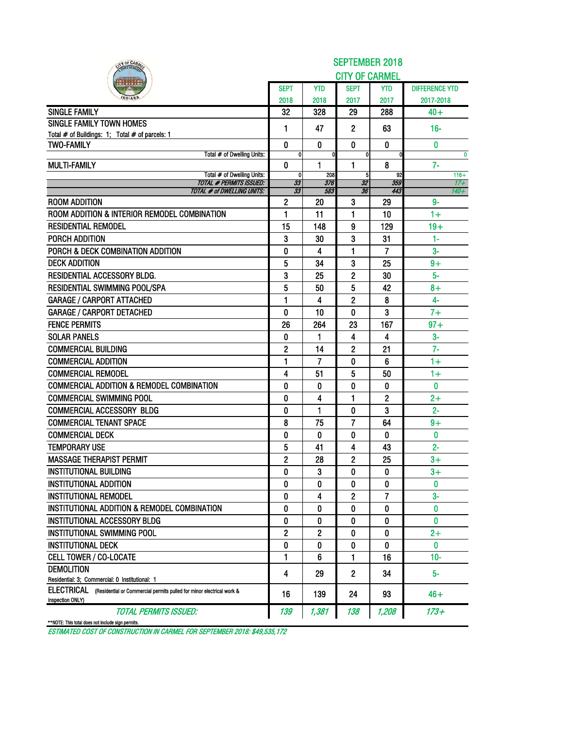| IN OF CARA                                                                                           | <b>SEPTEMBER 2018</b> |            |                          |            |                       |  |  |  |  |  |  |
|------------------------------------------------------------------------------------------------------|-----------------------|------------|--------------------------|------------|-----------------------|--|--|--|--|--|--|
|                                                                                                      |                       |            | <b>CITY OF CARMEL</b>    |            |                       |  |  |  |  |  |  |
|                                                                                                      | <b>SEPT</b>           | <b>YTD</b> | <b>SEPT</b>              | <b>YTD</b> | <b>DIFFERENCE YTD</b> |  |  |  |  |  |  |
|                                                                                                      | 2018                  | 2018       | 2017                     | 2017       | 2017-2018             |  |  |  |  |  |  |
| <b>SINGLE FAMILY</b>                                                                                 | 32                    | 328        | 29                       | 288        | $40+$                 |  |  |  |  |  |  |
| <b>SINGLE FAMILY TOWN HOMES</b>                                                                      | 1                     | 47         | $\mathbf{2}$             | 63         | $16 -$                |  |  |  |  |  |  |
| Total # of Buildings: 1; Total # of parcels: 1                                                       |                       |            |                          |            |                       |  |  |  |  |  |  |
| <b>TWO-FAMILY</b><br>Total # of Dwelling Units:                                                      | 0<br>0                | 0          | $\bf{0}$<br>$\mathbf{0}$ | $\bf{0}$   | $\bf{0}$              |  |  |  |  |  |  |
| <b>MULTI-FAMILY</b>                                                                                  | 0                     | 1          | 1                        | 8          | $\bf{0}$<br>$7-$      |  |  |  |  |  |  |
| Total # of Dwelling Units:                                                                           | 0                     | 208        | 5                        | 92         | $116+$                |  |  |  |  |  |  |
| <b>TOTAL # PERMITS ISSUED:</b>                                                                       | 33                    | 376        | 32                       | 359        | $17 +$<br>$140 +$     |  |  |  |  |  |  |
| <b>TOTAL # of DWELLING UNITS:</b><br><b>ROOM ADDITION</b>                                            | 33<br>2               | 583<br>20  | 36<br>3                  | 443<br>29  | 9-                    |  |  |  |  |  |  |
| ROOM ADDITION & INTERIOR REMODEL COMBINATION                                                         | 1                     | 11         | 1                        | 10         | $1+$                  |  |  |  |  |  |  |
| <b>RESIDENTIAL REMODEL</b>                                                                           | 15                    | 148        | 9                        | 129        | $19+$                 |  |  |  |  |  |  |
| PORCH ADDITION                                                                                       |                       | 30         |                          | 31         | 1-                    |  |  |  |  |  |  |
| PORCH & DECK COMBINATION ADDITION                                                                    | 3<br>0                |            | 3<br>1                   | 7          | $3-$                  |  |  |  |  |  |  |
| <b>DECK ADDITION</b>                                                                                 |                       | 4<br>34    |                          |            |                       |  |  |  |  |  |  |
| RESIDENTIAL ACCESSORY BLDG.                                                                          | 5                     |            | 3                        | 25         | $9+$<br>5-            |  |  |  |  |  |  |
|                                                                                                      | 3                     | 25         | 2                        | 30         |                       |  |  |  |  |  |  |
| RESIDENTIAL SWIMMING POOL/SPA                                                                        | 5                     | 50         | 5                        | 42         | $8+$<br>$4-$          |  |  |  |  |  |  |
| <b>GARAGE / CARPORT ATTACHED</b>                                                                     | 1                     | 4          | $\overline{2}$           | 8          |                       |  |  |  |  |  |  |
| <b>GARAGE / CARPORT DETACHED</b>                                                                     | 0                     | 10         | 0                        | 3          | $7+$                  |  |  |  |  |  |  |
| <b>FENCE PERMITS</b>                                                                                 | 26                    | 264        | 23                       | 167        | $97 +$                |  |  |  |  |  |  |
| <b>SOLAR PANELS</b>                                                                                  | 0                     | 1          | 4                        | 4          | $3-$                  |  |  |  |  |  |  |
| <b>COMMERCIAL BUILDING</b>                                                                           | 2                     | 14         | 2                        | 21         | $7-$                  |  |  |  |  |  |  |
| <b>COMMERCIAL ADDITION</b>                                                                           | 1                     | 7          | 0                        | 6          | $1+$                  |  |  |  |  |  |  |
| <b>COMMERCIAL REMODEL</b>                                                                            | 4                     | 51         | 5                        | 50         | $1+$                  |  |  |  |  |  |  |
| <b>COMMERCIAL ADDITION &amp; REMODEL COMBINATION</b>                                                 | 0                     | 0          | 0                        | 0          | 0                     |  |  |  |  |  |  |
| <b>COMMERCIAL SWIMMING POOL</b>                                                                      | 0                     | 4          | 1                        | 2          | $2+$                  |  |  |  |  |  |  |
| <b>COMMERCIAL ACCESSORY BLDG</b>                                                                     | 0                     | 1          | $\bf{0}$                 | 3          | $2 -$                 |  |  |  |  |  |  |
| <b>COMMERCIAL TENANT SPACE</b>                                                                       | 8                     | 75         | 7                        | 64         | $9+$                  |  |  |  |  |  |  |
| <b>COMMERCIAL DECK</b>                                                                               | 0                     | 0          | 0                        | 0          | 0                     |  |  |  |  |  |  |
| <b>TEMPORARY USE</b>                                                                                 | 5                     | 41         | 4                        | 43         | $2 -$                 |  |  |  |  |  |  |
| <b>MASSAGE THERAPIST PERMIT</b>                                                                      | $\overline{2}$        | 28         | $\overline{c}$           | 25         | $3+$                  |  |  |  |  |  |  |
| <b>INSTITUTIONAL BUILDING</b>                                                                        | 0                     | 3          | 0                        | 0          | $3+$                  |  |  |  |  |  |  |
| INSTITUTIONAL ADDITION                                                                               | 0                     | 0          | 0                        | 0          | 0                     |  |  |  |  |  |  |
| <b>INSTITUTIONAL REMODEL</b>                                                                         | 0                     | 4          | 2                        | 7          | $3-$                  |  |  |  |  |  |  |
| INSTITUTIONAL ADDITION & REMODEL COMBINATION                                                         | 0                     | 0          | 0                        | 0          | 0                     |  |  |  |  |  |  |
| <b>INSTITUTIONAL ACCESSORY BLDG</b>                                                                  | 0                     | 0          | 0                        | 0          | 0                     |  |  |  |  |  |  |
| INSTITUTIONAL SWIMMING POOL                                                                          | $\overline{c}$        | 2          | 0                        | 0          | $2+$                  |  |  |  |  |  |  |
| <b>INSTITUTIONAL DECK</b>                                                                            | 0                     | 0          | 0                        | 0          | 0                     |  |  |  |  |  |  |
| <b>CELL TOWER / CO-LOCATE</b>                                                                        | 1                     | 6          | 1                        | 16         | $10 -$                |  |  |  |  |  |  |
| <b>DEMOLITION</b>                                                                                    | 4                     | 29         | $\mathbf{2}$             | 34         | 5-                    |  |  |  |  |  |  |
| Residential: 3; Commercial: 0 Institutional: 1                                                       |                       |            |                          |            |                       |  |  |  |  |  |  |
| ELECTRICAL (Residential or Commercial permits pulled for minor electrical work &<br>inspection ONLY) | 16                    | 139        | 24                       | 93         | $46+$                 |  |  |  |  |  |  |
| <b>TOTAL PERMITS ISSUED:</b>                                                                         | 139                   | 1,381      | 138                      | 1,208      | 173+                  |  |  |  |  |  |  |
| **NOTE: This total does not include sign permits.                                                    |                       |            |                          |            |                       |  |  |  |  |  |  |

ESTIMATED COST OF CONSTRUCTION IN CARMEL FOR SEPTEMBER 2018: \$49,535,172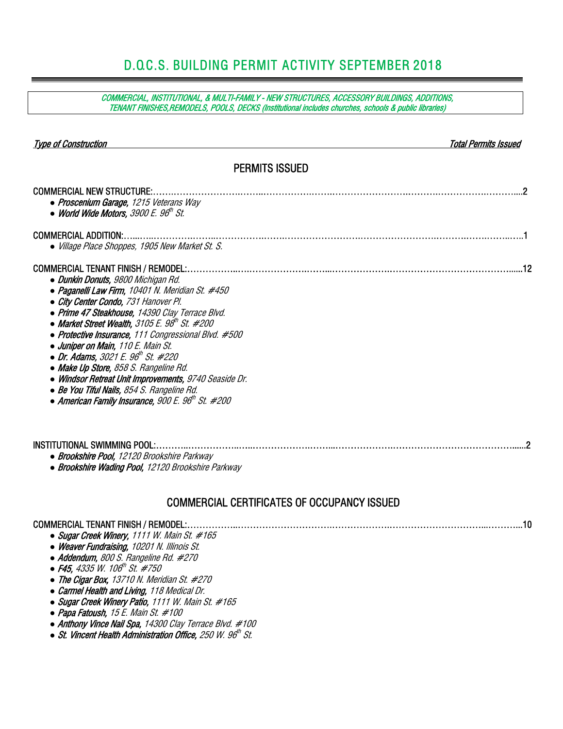## D.O.C.S. BUILDING PERMIT ACTIVITY SEPTEMBER 2018

COMMERCIAL, INSTITUTIONAL, & MULTI-FAMILY - NEW STRUCTURES, ACCESSORY BUILDINGS, ADDITIONS, TENANT FINISHES,REMODELS, POOLS, DECKS (Institutional includes churches, schools & public libraries)

| <b>Type of Construction</b>                                                                                                                                                                                                                                                                                                                                                                                                                                                                                                                                                                                                                               | Total Permits Issued |  |  |  |  |  |  |  |  |  |  |
|-----------------------------------------------------------------------------------------------------------------------------------------------------------------------------------------------------------------------------------------------------------------------------------------------------------------------------------------------------------------------------------------------------------------------------------------------------------------------------------------------------------------------------------------------------------------------------------------------------------------------------------------------------------|----------------------|--|--|--|--|--|--|--|--|--|--|
| <b>PERMITS ISSUED</b>                                                                                                                                                                                                                                                                                                                                                                                                                                                                                                                                                                                                                                     |                      |  |  |  |  |  |  |  |  |  |  |
| <b>COMMERCIAL NEW STRUCTURE:</b><br>• Proscenium Garage, 1215 Veterans Way<br>• World Wide Motors, 3900 E. 96th St.                                                                                                                                                                                                                                                                                                                                                                                                                                                                                                                                       |                      |  |  |  |  |  |  |  |  |  |  |
| <b>COMMERCIAL ADDITION:.</b><br>• Village Place Shoppes, 1905 New Market St. S.                                                                                                                                                                                                                                                                                                                                                                                                                                                                                                                                                                           |                      |  |  |  |  |  |  |  |  |  |  |
| <b>COMMERCIAL TENANT FINISH / REMODEL:</b><br>• Dunkin Donuts, 9800 Michigan Rd.<br>• Paganelli Law Firm, 10401 N. Meridian St. #450<br>• City Center Condo, 731 Hanover Pl.<br>• Prime 47 Steakhouse, 14390 Clay Terrace Blvd.<br>• Market Street Wealth, 3105 E. 98 <sup>th</sup> St. #200<br>• Protective Insurance, 111 Congressional Blvd. #500<br>• Juniper on Main, 110 E. Main St.<br>• Dr. Adams, 3021 E. 96 <sup>th</sup> St. #220<br>• Make Up Store, 858 S. Rangeline Rd.<br>• Windsor Retreat Unit Improvements, 9740 Seaside Dr.<br>• Be You Tiful Nails, 854 S. Rangeline Rd.<br>$\bullet$ American Family Insurance, 900 E. 96th St. #200 |                      |  |  |  |  |  |  |  |  |  |  |
| INSTITUTIONAL SWIMMING POOL:<br>• Brookshire Pool, 12120 Brookshire Parkway<br>• Brookshire Wading Pool, 12120 Brookshire Parkway                                                                                                                                                                                                                                                                                                                                                                                                                                                                                                                         |                      |  |  |  |  |  |  |  |  |  |  |
| <b>COMMERCIAL CERTIFICATES OF OCCUPANCY ISSUED</b>                                                                                                                                                                                                                                                                                                                                                                                                                                                                                                                                                                                                        |                      |  |  |  |  |  |  |  |  |  |  |
|                                                                                                                                                                                                                                                                                                                                                                                                                                                                                                                                                                                                                                                           | . 10                 |  |  |  |  |  |  |  |  |  |  |

- *●* Sugar Creek Winery, 1111 W. Main St. #165 *●* Weaver Fundraising, 10201 N. Illinois St.
- *●* Addendum, 800 S. Rangeline Rd. #270
- 
- **F45**, 4335 W. 106<sup>th</sup> St. #750
- *●* The Cigar Box, 13710 N. Meridian St. #270
- *●* Carmel Health and Living, 118 Medical Dr.
- *●* Sugar Creek Winery Patio, 1111 W. Main St. #165
- *●* Papa Fatoush, 15 E. Main St. #100
- *●* Anthony Vince Nail Spa, 14300 Clay Terrace Blvd. #100
- St. Vincent Health Administration Office, 250 W. 96<sup>th</sup> St.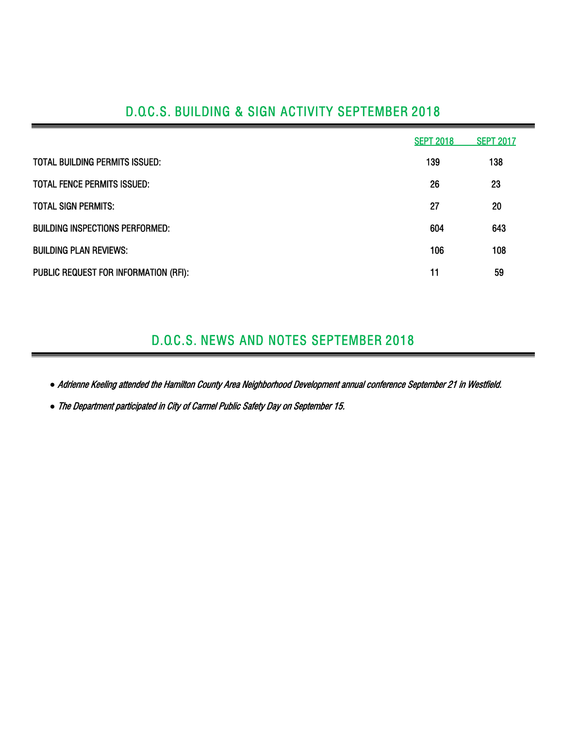## D.O.C.S. BUILDING & SIGN ACTIVITY SEPTEMBER 2018

|                                        | <b>SEPT 2018</b> | <b>SEPT 2017</b> |
|----------------------------------------|------------------|------------------|
| <b>TOTAL BUILDING PERMITS ISSUED:</b>  | 139              | 138              |
| <b>TOTAL FENCE PERMITS ISSUED:</b>     | 26               | 23               |
| <b>TOTAL SIGN PERMITS:</b>             | 27               | 20               |
| <b>BUILDING INSPECTIONS PERFORMED:</b> | 604              | 643              |
| <b>BUILDING PLAN REVIEWS:</b>          | 106              | 108              |
| PUBLIC REQUEST FOR INFORMATION (RFI):  | 11               | 59               |

## D.O.C.S. NEWS AND NOTES SEPTEMBER 2018

*●* Adrienne Keeling attended the Hamilton County Area Neighborhood Development annual conference September 21 in Westfield.

*●* The Department participated in City of Carmel Public Safety Day on September 15.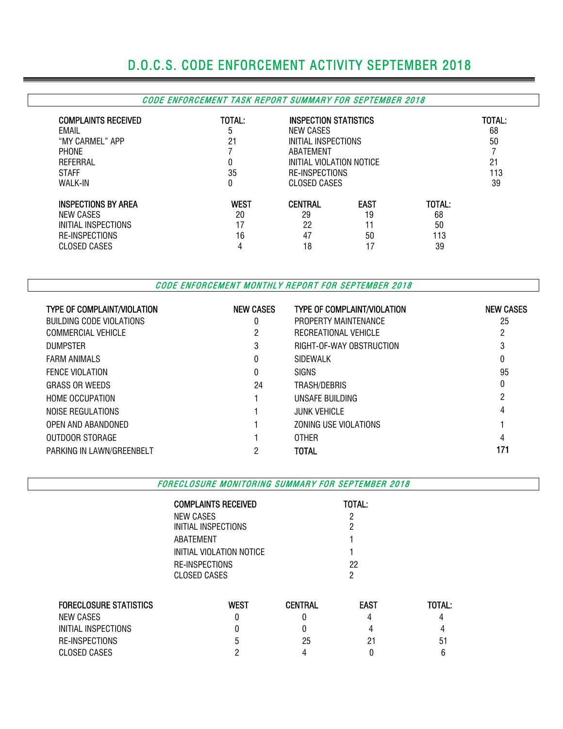# D.O.C.S. CODE ENFORCEMENT ACTIVITY SEPTEMBER 2018

#### CODE ENFORCEMENT TASK REPORT SUMMARY FOR SEPTEMBER 2018

| <b>COMPLAINTS RECEIVED</b><br>EMAIL<br>"MY CARMEL" APP<br>PHONE<br>REFERRAL<br><b>STAFF</b><br>WALK-IN | TOTAL:<br>ა<br>21<br>0<br>35<br>0 | NEW CASES<br>ABATEMENT | INSPECTION STATISTICS<br>INITIAL INSPECTIONS<br>INITIAL VIOLATION NOTICE<br><b>RE-INSPECTIONS</b><br>CLOSED CASES |        |  |  |  |  |
|--------------------------------------------------------------------------------------------------------|-----------------------------------|------------------------|-------------------------------------------------------------------------------------------------------------------|--------|--|--|--|--|
| <b>INSPECTIONS BY AREA</b>                                                                             | <b>WEST</b>                       | <b>CENTRAL</b>         | <b>EAST</b>                                                                                                       | TOTAL: |  |  |  |  |
| NEW CASES                                                                                              | 20                                | 29                     | 19                                                                                                                | 68     |  |  |  |  |
| INITIAL INSPECTIONS                                                                                    | 17                                | 22                     | 11                                                                                                                | 50     |  |  |  |  |
| <b>RE-INSPECTIONS</b>                                                                                  | 16                                | 47                     | 50                                                                                                                | 113    |  |  |  |  |
| CLOSED CASES                                                                                           | Δ                                 | 18                     | 17                                                                                                                | 39     |  |  |  |  |

CODE ENFORCEMENT MONTHLY REPORT FOR SEPTEMBER 2018

| <b>TYPE OF COMPLAINT/VIOLATION</b> | <b>NEW CASES</b> | <b>TYPE OF COMPLAINT/VIOLATION</b> | <b>NEW CASES</b> |
|------------------------------------|------------------|------------------------------------|------------------|
| BUILDING CODE VIOLATIONS           |                  | PROPERTY MAINTENANCE               | 25               |
| <b>COMMERCIAL VEHICLE</b>          |                  | RECREATIONAL VEHICLE               | 2                |
| <b>DUMPSTER</b>                    | 3                | RIGHT-OF-WAY OBSTRUCTION           | 3                |
| <b>FARM ANIMALS</b>                |                  | SIDEWALK                           | 0                |
| <b>FENCE VIOLATION</b>             | 0                | <b>SIGNS</b>                       | 95               |
| <b>GRASS OR WEEDS</b>              | 24               | TRASH/DEBRIS                       | 0                |
| <b>HOME OCCUPATION</b>             |                  | UNSAFE BUILDING                    | 2                |
| NOISE REGULATIONS                  |                  | <b>JUNK VEHICLE</b>                | 4                |
| OPEN AND ABANDONED                 |                  | ZONING USE VIOLATIONS              |                  |
| OUTDOOR STORAGE                    |                  | <b>OTHER</b>                       | 4                |
| PARKING IN LAWN/GREENBELT          | っ                | TOTAL                              | 171              |

FORECLOSURE MONITORING SUMMARY FOR SEPTEMBER 2018

|                               | <b>COMPLAINTS RECEIVED</b> |                | TOTAL:      |        |  |  |  |  |
|-------------------------------|----------------------------|----------------|-------------|--------|--|--|--|--|
|                               | NEW CASES                  |                |             |        |  |  |  |  |
|                               | INITIAL INSPECTIONS        |                |             |        |  |  |  |  |
|                               | ABATEMENT                  |                |             |        |  |  |  |  |
|                               | INITIAL VIOLATION NOTICE   |                |             |        |  |  |  |  |
|                               | RE-INSPECTIONS             |                | 22          |        |  |  |  |  |
|                               | <b>CLOSED CASES</b>        |                | 2           |        |  |  |  |  |
| <b>FORECLOSURE STATISTICS</b> | <b>WEST</b>                | <b>CENTRAL</b> | <b>EAST</b> | TOTAL: |  |  |  |  |
|                               |                            |                |             |        |  |  |  |  |
| NEW CASES                     | O                          | N              | 4           | 4      |  |  |  |  |
| INITIAL INSPECTIONS           |                            | 0              | 4           |        |  |  |  |  |
| RE-INSPECTIONS                |                            | 25             | 21          | 51     |  |  |  |  |
| <b>CLOSED CASES</b>           |                            | 4              | 0           | 6      |  |  |  |  |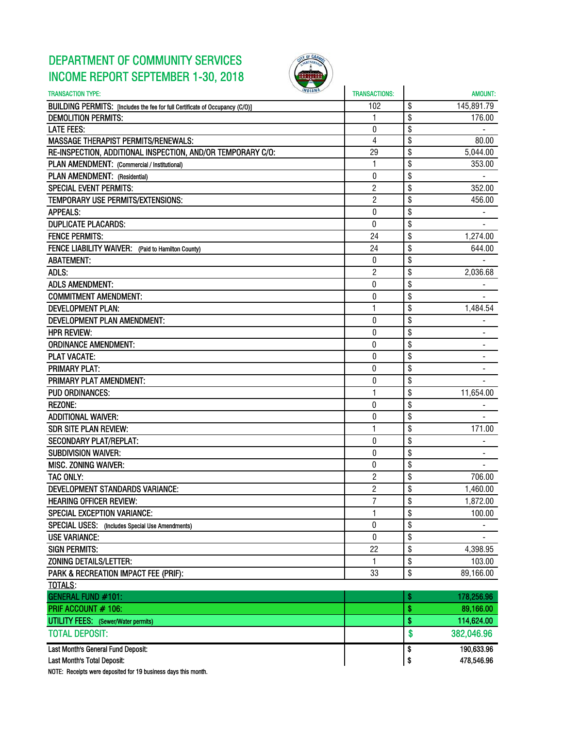## DEPARTMENT OF COMMUNITY SERVICES INCOME REPORT SEPTEMBER 1-30, 2018



| <b>INDIANA</b><br><b>TRANSACTION TYPE:</b>                                   | <b>TRANSACTIONS:</b> | <b>AMOUNT:</b>   |
|------------------------------------------------------------------------------|----------------------|------------------|
| BUILDING PERMITS: [Includes the fee for full Certificate of Occupancy (C/O)] | 102                  | \$<br>145,891.79 |
| <b>DEMOLITION PERMITS:</b>                                                   | 1                    | \$<br>176.00     |
| <b>LATE FEES:</b>                                                            | 0                    | \$               |
| <b>MASSAGE THERAPIST PERMITS/RENEWALS:</b>                                   | 4                    | \$<br>80.00      |
| RE-INSPECTION, ADDITIONAL INSPECTION, AND/OR TEMPORARY C/O:                  | 29                   | \$<br>5,044.00   |
| PLAN AMENDMENT: (Commercial / Institutional)                                 | 1                    | \$<br>353.00     |
| PLAN AMENDMENT: (Residential)                                                | 0                    | \$               |
| <b>SPECIAL EVENT PERMITS:</b>                                                | $\overline{2}$       | \$<br>352.00     |
| TEMPORARY USE PERMITS/EXTENSIONS:                                            | $\overline{c}$       | \$<br>456.00     |
| <b>APPEALS:</b>                                                              | $\bf{0}$             | \$               |
| <b>DUPLICATE PLACARDS:</b>                                                   | $\boldsymbol{0}$     | \$               |
| <b>FENCE PERMITS:</b>                                                        | 24                   | \$<br>1,274.00   |
| FENCE LIABILITY WAIVER: (Paid to Hamilton County)                            | 24                   | \$<br>644.00     |
| <b>ABATEMENT:</b>                                                            | 0                    | \$               |
| ADLS:                                                                        | $\overline{c}$       | \$<br>2,036.68   |
| <b>ADLS AMENDMENT:</b>                                                       | $\pmb{0}$            | \$               |
| <b>COMMITMENT AMENDMENT:</b>                                                 | 0                    | \$               |
| <b>DEVELOPMENT PLAN:</b>                                                     | 1                    | \$<br>1,484.54   |
| DEVELOPMENT PLAN AMENDMENT:                                                  | 0                    | \$               |
| <b>HPR REVIEW:</b>                                                           | 0                    | \$               |
| <b>ORDINANCE AMENDMENT:</b>                                                  | $\bf{0}$             | \$               |
| <b>PLAT VACATE:</b>                                                          | 0                    | \$               |
| <b>PRIMARY PLAT:</b>                                                         | 0                    | \$               |
| PRIMARY PLAT AMENDMENT:                                                      | 0                    | \$               |
| <b>PUD ORDINANCES:</b>                                                       | 1                    | \$<br>11,654.00  |
| <b>REZONE:</b>                                                               | $\bf{0}$             | \$               |
| <b>ADDITIONAL WAIVER:</b>                                                    | 0                    | \$               |
| <b>SDR SITE PLAN REVIEW:</b>                                                 | 1                    | \$<br>171.00     |
| <b>SECONDARY PLAT/REPLAT:</b>                                                | $\theta$             | \$               |
| <b>SUBDIVISION WAIVER:</b>                                                   | 0                    | \$               |
| <b>MISC. ZONING WAIVER:</b>                                                  | 0                    | \$               |
| <b>TAC ONLY:</b>                                                             | $\overline{c}$       | \$<br>706.00     |
| <b>DEVELOPMENT STANDARDS VARIANCE:</b>                                       | $\mathbf{2}$         | \$<br>1,460.00   |
| <b>HEARING OFFICER REVIEW:</b>                                               | 7                    | \$<br>1,872.00   |
| <b>SPECIAL EXCEPTION VARIANCE:</b>                                           | 1                    | \$<br>100.00     |
| SPECIAL USES: (Includes Special Use Amendments)                              | 0                    | \$               |
| <b>USE VARIANCE:</b>                                                         | $\pmb{0}$            | \$               |
| <b>SIGN PERMITS:</b>                                                         | 22                   | \$<br>4,398.95   |
| ZONING DETAILS/LETTER:                                                       | 1                    | \$<br>103.00     |
| PARK & RECREATION IMPACT FEE (PRIF):                                         | 33                   | \$<br>89,166.00  |
| <b>TOTALS:</b>                                                               |                      |                  |
| <b>GENERAL FUND #101:</b>                                                    |                      | \$<br>178,256.96 |
| PRIF ACCOUNT # 106:                                                          |                      | \$<br>89,166.00  |
| <b>UTILITY FEES:</b> (Sewer/Water permits)                                   |                      | \$<br>114,624.00 |
| <b>TOTAL DEPOSIT:</b>                                                        |                      |                  |
|                                                                              |                      | \$<br>382,046.96 |
| Last Month's General Fund Deposit:                                           |                      | \$<br>190,633.96 |
| Last Month's Total Deposit:                                                  |                      | \$<br>478,546.96 |

NOTE: Receipts were deposited for 19 business days this month.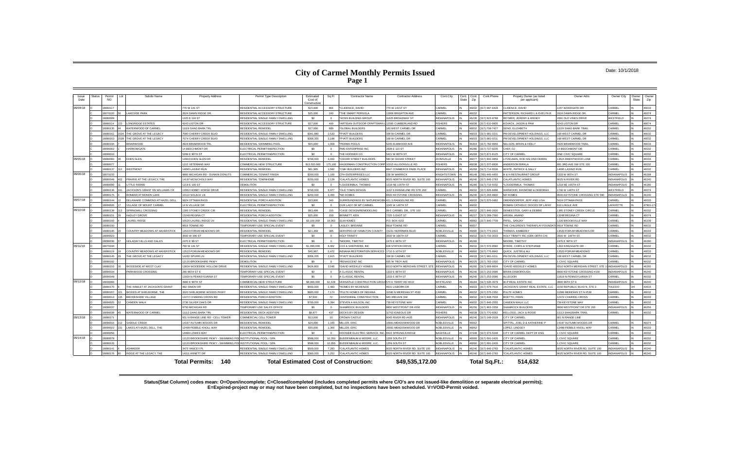### **City of Carmel Monthly Permits Issued Page 1**

#### Date: 10/1/2018

**Status(Stat Column) codes mean: O=Open/incomplete; C=Closed/completed (includes completed permits where C/O's are not issued-like demolition or separate electrical permits); E=Expired-project may or may not have been completed, but no inspections have been scheduled. V=VOID-Permit voided.**

| Issue<br>Date | <b>Status</b> | Subdiv Name<br>Permit<br><b>NO</b>        | <b>Property Address</b>                                     | Permit Type Description             | Estimated<br>Cost of<br>Construction | Sq Ft           | <b>Contractor Name</b>                           | <b>Contractor Address</b>       | Cont.City           | Cont.<br>Cont.<br>State<br>Zip | Cont.Phone    | Propety Owner (as listed<br>per applicant)     | Owner Adrs                      | Owner City          | Owner<br>State | Owner<br>Zip |
|---------------|---------------|-------------------------------------------|-------------------------------------------------------------|-------------------------------------|--------------------------------------|-----------------|--------------------------------------------------|---------------------------------|---------------------|--------------------------------|---------------|------------------------------------------------|---------------------------------|---------------------|----------------|--------------|
| 09/04/18      |               | 8060117                                   | 770 W 141 ST                                                | RESIDENTIAL ACCESSORY STRUCTURE     | \$15,000                             | 864             | *CLIDENCE, DAVID                                 | 770 W 141ST ST                  | CARMEL              | 46032                          | 317) 997-6428 | <b>I IDENCE, DAVID</b>                         | 1157 WOODGATE DR                | CARMEL              |                | 46033        |
|               |               | LAKESIDE PARK<br>8070220                  | <b>624 DAWN RIDGE DR</b>                                    | RESIDENTIAL ACCESSORY STRUCTURE     | \$25,000                             | 240             | THE SMART PERGOLA                                | 2958 BRIGHTON AVE               | CARMEL              | 5032                           |               | ATTERSON, RICHARD L & EVELYN R                 | 2624 DAWN RIDGE DR              | CARMEL              |                | 46074        |
|               |               | 8080009                                   | 225 E 116 ST                                                | RESIDENTIAL SINGLE FAMILY DWELLING  | \$0                                  | $\Omega$        | <b>HOSS BUILDING GROUP</b>                       | 1825 BROADWAY ST                | INDIANAPOLIS        | 16236                          | 317) 823-9788 | REYMER JEREMY & WENDY                          | 2691 OLD VINES DRIVE            | <b>WESTEIFLD</b>    |                | 46074        |
|               |               | 8080114<br>ONGRIDGE ESTATES               | <b>1243 LISTON DR</b>                                       | RESIDENTIAL ACCESSORY STRUCTURE     | \$27,000                             | 400             | ARTISAN OUTDOOR CRAFTSMAN                        | 12595 CUMBERLAND RD             | <b>FISHERS</b>      | 46038                          | 317) 610-9905 | OVACK, JASON & PAM                             | 4243 LISTON DR                  | CARMEL              |                | 46074        |
|               |               | <b>ATERWOOD OF CARMEL</b><br>8080135      | 1119 SHAG RARK TRI                                          | RESIDENTIAL REMODEL                 | \$27,000                             | 600             | <b>"GLOBAL BUILDERS</b>                          | 60 WEST CARMEL DR               | CARMEL              | 16032                          | 317) 708-7427 | SENO, ELIZABETH                                | 11119 SHAG BARK TRAIL           | CARMEL              |                | 46032        |
|               |               | 8080161<br>HE GROVE AT THE LEGACY         | 080 CHERRY CREEK BLVD                                       | RESIDENTIAL SINGLE FAMILY DWELLING  | \$341,880                            | 2.533           | PYATT BUILDERS                                   | 68 W CARMEL DR                  | CARMEL              | 6033                           | 317) 981-0211 | M DEVELOPMENT HOLDINGS. LLC                    | 168 WEST CARMEL DR              | CARMEL              |                | 46032        |
|               |               | THE GROVE AT THE LEGACY<br>8080163        | 074 CHERRY CREEK BLVD                                       | RESIDENTIAL SINGLE FAMILY DWELLING  | \$358,355                            | 3.188           | *PYATT BUILDERS                                  | 168 W CARMEL DR                 | CARMEL              | 16033                          | 317) 981-0211 | M DEVELOPMENT HOLDINGS, LLC                    | 168 WEST CARMEL DR              | CARMEL              |                | 46032        |
|               |               | 8080194<br><b>RIARWOOD</b>                | <b>1926 BRIARWOOD TRL</b>                                   | <b>RESIDENTIAL SWIMMING POOL</b>    | \$55,000                             | 1.008           | PERMA POOLS                                      | 5245 ELMWOOD AVE                | <b>INDIANAPOLIS</b> | 46203                          | 317) 782-9956 | ELSON, BRIAN & HOLLY                           | 4926 BRIARWOOD TRAI             | CARMEL              |                | 46033        |
|               |               | 8090002<br><b>IARROWGATE</b>              | 4 BEECHMONT DR                                              | ELECTRICAL PERMIT/INSPECTION        | \$0                                  | $\Omega$        | PMG ENTERPRISE INC                               | 608 E 110 ST                    | <b>INDIANAPOLIS</b> | 46280                          | 317) 727-9235 | HEF, DJ                                        | <b>4 BEECHMONT DR</b>           | CARMEL              |                | 46032        |
|               |               | 8090010                                   | <b>299 E 96TH ST</b>                                        | <b>ELECTRICAL PERMIT/INSPECTION</b> | \$0                                  | $\Omega$        | THE HOOSIER CO                                   | 421 W 86TH ST                   | <b>INDIANAPOLIS</b> | 16268                          | 317) 872-8125 | <b>ITY OF CARMEL</b>                           | ONE CIVIC SQUARE                | CARMEL              |                | 46032        |
| 09/05/18      |               | 8080060<br>EDEN GLEN                      | 2004 EDEN GLEN DR                                           | RESIDENTIAL REMODEL                 | \$700,000                            | 4.000           | CEDAR STREET BUILDERS                            | <b>80 W CEDAR STREET</b>        | ZIONSVILLE          | 16077                          | 317) 942-0859 | TZELMAN, ROD NSI AND DEBRA                     | 13515 BRENTWOOD LANE            | CARMEI              |                | 46033        |
|               |               | 8080077                                   | 215 VETERANS WAY                                            | COMMERCIAL NEW STRUCTURE            | \$13,500,000                         | 175.100         | <b>HAGERMAN CONSTRUCTION CORI</b>                | 10315 ALLISONVILLE RD           | <b>FISHERS</b>      | 46038                          | 317) 577-6836 | NDERSON BIRKLA                                 | 881 3RD AVE SW STE 100          | CARMEL              |                | 46032        |
|               |               | 8080137<br><b>NESTMONT</b>                | 4095 LASINO RUN                                             | RESIDENTIAL REMODEL                 | \$61,965                             | 1.582           | *CMH BUILDERS INC                                | <b>8847 COMMERCE PARK PLACE</b> | <b>INDIANAPOLIS</b> | 16268                          | 317) 714-6536 | HITE, PATRICK & SALLY                          | 4095 LASINO RUN                 | CARMEL              |                | 46032        |
| 09/06/18      |               | 8070233                                   | <b>800 MICHIGAN RD - DUNKIN DONUTS</b>                      | COMMERCIAL TENANT FINISH            | \$200,000                            | 1.100           | CFH ENTERPRISES LLC                              | <b>38 W WARRICK</b>             | <b>KNIGHTSTOWN</b>  | 16148                          | (65) 445-4455 | & H RESTAURANT GROUP                           | 5333 W 86TH ST                  | INDIANAPOLIS        |                | 46268        |
|               |               | 8080049<br>PRAIRIE AT THE LEGACY. THE     | 4197 MCNICHOLS WAY                                          | RESIDENTIAL TOWNHOME                | \$150,000                            | 2.129           | <b>CALATLANTIC HOMES</b>                         | 025 NORTH RIVER RD, SUITE 100   | <b>INDIANAPOLIS</b> | 6240                           | 317) 846-2783 | <b>ALATLANTIC HOMES</b>                        | 9025 N RIVER RD                 | <b>INDIANAPOLIS</b> |                | 46240        |
|               |               | 8080090<br><b>ITTLE FARMS</b>             | 218 E 105 ST                                                | <b>DEMOLITION</b>                   | \$0                                  | $\Omega$        | LOUDERMILK, THOMAS                               | 218 NE 105TH ST                 | INDIANAPOLIS        | 46280                          | 317) 716-5032 | OUDERMILK, THOMAS                              | 1218 NE 105TH ST                | <b>INDIANAPOLIS</b> |                | 46280        |
|               |               | 8080136<br>ACKSON'S GRANT ON WILLIAMS CR  | 2062 HOBBY HORSE DRIVE                                      | RESIDENTIAL SINGLE FAMILY DWELLING  | \$700,000                            | 6.977           | *OLD TOWN DESIGN                                 | 132 S RANGELINE RD STE 200      | CARMEL              | 46032                          | 317) 626-8486 | ARWOOD, RAYMOND & DEBORAH                      | 1740 W 146TH ST                 | WESTFIELD           |                | 46074        |
|               |               | 8080175<br>ONRAR AT MONON LAKE            | 0114 SOLACE LN                                              | RESIDENTIAL SINGLE FAMILY DWELLING  | \$200,000                            | 3.450           | *M/LHOMES                                        | 3500 KEYSTONE CROSSING          | <b>NDIANAPOLIS</b>  | 16240                          | 317) 255-9900 | <b>I/I HOMES</b>                               | 8500 KEYSTONE CROSSING STE 590  | <b>INDIANAPOLIS</b> |                | 46240        |
| 09/07/18      |               | 8080144<br>DELAWARE COMMONS AT HAZEL DELL | 624 OTTAWA PASS                                             | RESIDENTIAL PORCH ADDITION          | \$33,800                             | 340             | <b>SURROUNDINGS BY NATUREWORK</b>                | 421 S RANGELINE RD              | CARMEL              | 46032                          | 317) 575-0482 | <b>DBERNDORFER, JEFF AND LISA</b>              | 5624 OTTAWA PASS                | CARMEL              |                | 46033        |
|               |               | 8090026<br>ILLAGE OF MOUNT CARME          | 4 N VILLAGE DF                                              | ELECTRICAL PERMIT/INSPECTION        | \$0                                  |                 | OUR LADY OF MT CARMEL                            | 045 W 146TH ST                  | CARMEL              | 5032                           |               | ROMAN CATHOLIC DIOCES OF LAFAY                 | <b>310 LINGLE AVE</b>           | AFAYFTT             |                | 47901-1      |
| 09/10/18      |               | 8080138<br><b>PRINGMILL CROSSING</b>      | 385 STONEY CREEK CIR                                        | <b>RESIDENTIAL REMODEL</b>          | \$83,499                             | 155             | CASE DESIGN/REMODELING                           | 99 E CARMEL DR., STE 100        | CARMEL              | 46032                          | 317) 846-2600 | EMEESTER, GARY & DEBBIE                        | <b>1385 STONEY CREEK CIRCLE</b> | CARMEL              |                | 46032        |
|               |               | 8080151<br><b>IADLEY GROVE</b>            | 3248 REGINA CT                                              | RESIDENTIAL PORCH ADDITION          | \$25,000                             | 150             | BENNETT, KEN                                     | 225 S EAST ST                   | <b>INDIANAPOLIS</b> | 46227                          | 317) 289-7560 | RORA, ANAND                                    | 3248 REGINA CT                  | CARMEL              |                | 46074        |
|               |               | 8080160<br><b>AUREL RIDGE</b>             | 0520 LAUREL RIDGE LN                                        | RESIDENTIAL SINGLE FAMILY DWELLING  | \$3,100,000                          | 18.063          | <b>SLM HOMES</b>                                 | P.O. BOX 4102                   | CARMEI              | 6082                           | 317) 846-7709 | ATEL, SANJAY                                   | 1220 BROOKVILLE WAY             | CARMEL              |                | 46239        |
|               |               | 8080193                                   | 9919 TOWNE RD                                               | TEMPORARY USE SPECIAL EVENT         | \$0                                  |                 | <b>ASLEY, BREINNE</b>                            | 9919 TOWNE RD                   | CARMEL              | 16037                          |               | HE CHILDREN'S THERAPLAY FOUNDATI 9919 TOWNE RD |                                 | CARMEL              |                | 46032        |
|               |               | 8080195<br>COUNTRY MEADOWS AT HAVERSTICK  | 3533 FORUM MEADOWS DR                                       | <b>RESIDENTIAL REMODEL</b>          | \$21,369                             | 385             | <b>SERVPRO OF HAMILTON COUNTY</b>                | 5231 HERRIMAN BLVD              | NOBLESVILLE         | 46060                          | 317) 773-0422 | HOMAS, KIMBERLY                                | 13533 FORUM MEADOWS DR          | CARMEL              |                | 46033        |
|               |               | 8090023                                   | 3500 W 106 ST                                               | TEMPORARY USE SPECIAL EVENT         | \$0                                  | $\Omega$        | <b>HOLY TRINITY</b>                              | 3500 W 106TH ST                 | CARMEL              | 16032                          | 317) 733-3033 | <b>JOLY TRINITY INC.(GRK.ORTH.CH)</b>          | 3500 W. 106TH ST.               | CARMEL              |                | 46032        |
|               |               | HOLADAY HILLS AND DALES<br>8090036        | 2470 E 99 ST                                                | LECTRICAL PERMIT/INSPECTION         | \$0                                  | $\Omega$        | MOORE, TIMOTHY                                   | 2470 E 99TH ST                  | <b>INDIANAPOLIS</b> | 16280                          |               | <b>MOORE, TIMOTHY</b>                          | 2470 E 99TH ST                  | <b>INDIANAPOLIS</b> |                | 46280        |
| 09/11/18      |               | 8070194                                   | 760 W 141 ST                                                | RESIDENTIAL SINGLE FAMILY DWELLING  | \$1,090,000                          | 8.462           | COX & SHEPHERD, INC                              | 608 STATION DRIVE               | CARMEI              | 6032                           | 317) 573-9582 | YRDE, CHIRS & STEPHANIE                        | <b>1363 KINGSGATE DR</b>        | CARMEI              |                | 46032        |
|               |               | 8080119<br>COUNTRY MEADOWS AT HAVERSTICK  | 3523 FORUM MEADOWS DR                                       | <b>RESIDENTIAL REMODEI</b>          | \$45,967                             | 2.472           | <b>INDIANA RESTORATION SERVICES</b>              | 710 S 10TH ST                   | NOBLESVILLE         | 46060                          | 317) 776-9942 | UICK. JUSTIN & ALI                             | 3523 FORUM MEADOWS              | CARMEL              |                | 46033        |
|               |               | 8080145<br>THE GROVE AT THE LEGACY        | 4262 SPURR LN                                               | RESIDENTIAL SINGLE FAMILY DWELLING  | \$358,205                            | 2.915           | <b>PYATT BUILDERS</b>                            | 68 W CARMEL DR                  | CARMEL              | 46033                          | 317) 981-0211 | M DEVELOPMENT HOLDINGS. LLC                    | 168 WEST CARMEL DR              | CARMEL              |                | 46032        |
|               |               | 8080182                                   | 2120 BROOKSHIRE PKWY                                        | <b>DEMOLITION</b>                   | \$0                                  |                 | *RENASCENT INC                                   | 335 W TROY AVE                  | <b>INDIANAPOLIS</b> | 16225                          | 317) 783-1500 | <b>ITY OF CARMEL</b>                           | <b>CIVIC SQUARE</b>             | <b>ARMEL</b>        |                | 46032        |
|               |               | 8080210<br><b>/OODSIDE AT WEST CLAY</b>   | 3834 WOODSIDE HOLLOW DRIVE                                  | RESIDENTIAL SINGLE FAMILY DWELLING  | \$424,800                            | 3.046           | DAVID WEEKLEY HOMES                              | 310 NORTH MERIDIAN STREET. STE  | <b>INDIANAPOLIS</b> | 16260                          | 317) 669-8604 | DAVID WEEKLEY HOMES                            | 9310 NORTH MERIDIAN STREET, STE | <b>INDIANAPOLIS</b> |                | 46260        |
|               |               | 8090034<br>ARKWOOD CROSSING               | 280 96TH ST E                                               | TEMPORARY USE SPECIAL EVENT         | \$0                                  | $\Omega$        | A CLASSIC RENTAL                                 | 1333 E 86TH ST                  | <b>INDIANAPOLIS</b> | 46240                          | 317) 253-0586 | <b>RIAN DISBOROUGH</b>                         | 8900 KEYSTONE CROSSING #100     | <b>INDIANAPOLIS</b> |                | 46240        |
|               |               | 8090049                                   | 1819 N PENNSYLVANIA ST                                      | TEMPORARY USE SPECIAL EVENT         | \$0                                  | $\Omega$        | A CLASSIC RENTAL                                 | 1333 E 86TH ST                  | <b>INDIANAPOLIS</b> | 46240                          | 317) 253-0586 | <b>LLEGION</b>                                 | 11819 N PENNSYLVANIA ST         | CARMEL              |                | 46032        |
| 09/12/18      |               | 8030066                                   | 3900 E 96TH ST                                              | COMMERCIAL NEW STRUCTURE            | \$8,000,000                          | 62.328          | VERSATILE CONSTRUCTION GROUL 570 E TERRY RD #610 |                                 | WHITELAND           | 46184                          | 317) 535-3579 | -P REAL ESTATE INC                             | 3900 96TH ST E                  | <b>INDIANAPOLIS</b> |                | 46240        |
|               |               | 8080170<br>THE HAMLET AT JACKSON'S GRANT  | <b>182 SIMON DR</b>                                         | RESIDENTIAL SINGLE FAMILY DWELLING  | \$550,000                            | 2.483           | <b>HOMES BY MCKENZIE</b>                         | <b>1631 LISBORN DR</b>          | CARMEL              | 46033                          | 317) 574-7616 | ACKSON'S GRANT REAL ESTATE. LLC                | 3150 REPUBLIC BLVD N. STE 3     | <b>TOLEDO</b>       |                | 43615        |
|               |               | 8080207<br><b>/OODS AT SHELBORNE, THE</b> | 320 SHELBORNE WOODS PKWY                                    | RESIDENTIAL SINGLE FAMILY DWELLING  | \$683,000                            | 7.174           | PULTE HOMES OF INDIANA                           | 1590 N MERIDIAN ST #530         | CARMEI              | 6032                           | 17) 575-2350  | <b>JLTE HOMES</b>                              | 1590 MERIDIAN ST N #530         | CARMEI              |                | 46032        |
|               |               | 8090014<br>ROOKSHIRE VILLAGE              | 2272 CHARING CROSS RD                                       | RESIDENTIAL PORCH ADDITION          | \$7,500                              | 72              | CENTENNIAL CONSTRUCTION                          | 40 3RD AVE SW                   | CARMEL              | 16032                          | 17) 848-7634  | OETTO, FRAN                                    | 12272 CHARING CROSS             | CARMEL              |                | 46033        |
|               |               | 8090025<br>AMDEN WALK                     | 2736 SILVER OAKS DR                                         | RESIDENTIAL SINGLE FAMILY DWELLING  | \$700,000                            | 6.394           | STEVEN A WILSON, INC                             | 39 KEYSTONE WAY                 | CARMEL              | 16032                          | 317) 846-2555 | AMDEN WALK LLC                                 | 739 KEYSTONE WAY                | CARMEL              |                | 46032        |
|               |               | 8090037                                   | 750 MICHIGAN RD                                             | TEMPORARY USE SALES OFFICE          | \$0                                  | $\Omega$        | <b>SHAMROCK BUILDERS</b>                         | 800 WESTPOINT DR #200           | <b>INDIANAPOLIS</b> | 16256                          | 317) 863-3358 | HAMROCK BUILDERS                               | 9800 WESTPOINT DR STE 200       | <b>INDIANAPOLIS</b> |                | 46256        |
|               |               | 8090038<br>VATERWOOD OF CARMEL            | 1113 SHAG BARK TRL                                          | RESIDENTIAL DECK ADDITION           | \$8,877                              | 437             | <b>DECKS BY DESIGN</b>                           | 1763 IGNEOUS DR                 | <b>FISHERS</b>      | 6038                           | 317) 770-6062 | <b>KELLOGG, JACK &amp; ROSIE</b>               | 11113 SHAGBARK TRAI             | CARMEL              |                | 46032        |
| 09/13/18      |               | 8080171                                   | 331 N RANGE LINE RD - CELL TOWER                            | COMMERCIAL CELL TOWER               | \$13,000                             | 10 <sup>1</sup> | <b>CROWN CASTLE</b>                              | 045 RIVER RD #425               | <b>INDIANAPOLIS</b> | 46240                          | 17) 249-2028  | <b>ITY OF CARMEL</b>                           | 901 N RANGE LINE                |                     |                |              |
|               |               | 8090016<br>SADDLE CREEK                   | 4197 AUTUMN WOODS DR                                        | RESIDENTIAL REMODEL                 | \$24,000                             | 1.100           | <b>MILLER, ERIC</b>                              | 6691 MEADOWWOOD DR              | NOBLESVILLE         | 46062                          |               | PITTAL, JOEL D & KATHERINE P                   | 14197 AUTUMN WOODS DR           | CARMEL              |                | 46074        |
|               |               | AKES AT HAZEL DELL, THE<br>8090022        | 2499 PEBBLE KNOLL WAY                                       | RESIDENTIAL REMODEL                 | \$35,000                             | 1.300           | <b>MILLER, ERIC</b>                              | 6691 MEADOWWOOD DR              | NOBLESVILLE         | 16062                          |               | OPEZ, LINDSEY                                  | 12499 PEBBLE KNOLL WAY          | CARMEL              |                | 46033        |
|               |               | 8090056                                   | 4488 LOWES WAY                                              | ELECTRICAL PERMIT/INSPECTION        | \$0                                  | $\Omega$        | <b>HOOSIER ELECTRIC SERVICE, INC</b>             | 6503 SPRUNICA RIDGE             | NASHVILLE           | 17448                          | 317) 373-5248 | ITY OF CARMEL DEPT OF ENG                      | <b>CIVIC SQUARE</b>             | CARMEL              |                | 46032        |
| 09/14/18      |               | 8080078                                   | 2120 BROOKSHIRE PKWY - SWIMMING POOINSTITUTIONAL POOL / SPA |                                     | \$598,000                            | 10,350          | <b>BUDDENBAUM &amp; MOORE, LL</b>                | 359 SOUTH ST                    | NOBLESVILLE         | 46060                          | 317) 691-2426 | <b>ITY OF CARME</b>                            | <b>CIVIC SQUARE</b>             | CARMEL              |                | 46032        |
|               |               | 8080120                                   | 2120 BROOKSHIRE PKWY - SWIMMING PO                          | <b>INSTITUTIONAL POOL / SPA</b>     | \$598,000                            | 10.350          | UDDENBAUM & MOORE, LLC                           | 359 SOLITH ST                   | NOBLESVILLE         | <b>GO60</b>                    | 317) 691-2426 | <b>ITY OF CARMEL</b>                           | <b>CIVIC SQUARE</b>             | ARMEI               |                | 36032        |
|               |               | <b>SHMOOR</b><br>8080141                  | 3475 YANCEY PL                                              | RESIDENTIAL SINGLE FAMILY DWELLING  | \$500,000                            | 7,283           | CALATI ANTIC HOMES                               | 025 NORTH RIVER RD, SUITE 100   | <b>INDIANAPOLIS</b> | 46240                          | 317) 846-2783 | CALATLANTIC HOMES                              | 9025 NORTH RIVER RD, SUITE 100  | <b>INDIANAPOLIS</b> |                | 46240        |
|               |               | 8080176<br><b>IDGE AT THE LEGACY. THE</b> | 4311 ARNETT DR                                              | RESIDENTIAL SINGLE FAMILY DWELLING  | \$360,000                            | 5.252           | CALATLANTIC HOMES                                | 025 NORTH RIVER RD, SUITE 100   | <b>INDIANAPOLIS</b> | 46240                          | 17) 846-2783  | CALATLANTIC HOMES                              | 025 NORTH RIVER RD, SUITE 100   | <b>INDIANAPOLIS</b> |                | 46240        |
|               |               |                                           |                                                             |                                     |                                      |                 |                                                  |                                 |                     |                                |               |                                                |                                 |                     |                |              |
|               |               |                                           | <b>Total Permits: 140</b>                                   |                                     |                                      |                 | <b>Total Estimated Cost of Construction:</b>     | \$49,535,172.00                 |                     |                                | Total Sq.Ft.: | 514.632                                        |                                 |                     |                |              |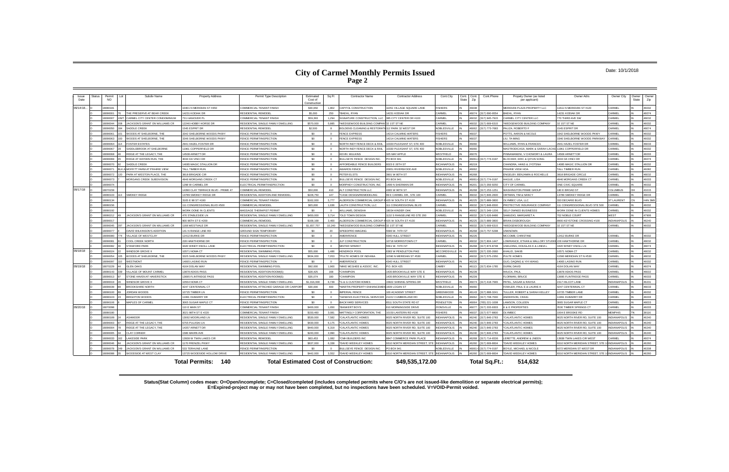### **City of Carmel Monthly Permits Issued Page 2**

#### Date: 10/1/2018

**Status(Stat Column) codes mean: O=Open/incomplete; C=Closed/completed (includes completed permits where C/O's are not issued-like demolition or separate electrical permits); E=Expired-project may or may not have been completed, but no inspections have been scheduled. V=VOID-Permit voided.**

| Issue<br>Date | Status                                                                                       | Permit<br>Lot<br><b>NO</b> | Subdiv Name                    | <b>Property Address</b>            | Permit Type Description               | Estimated<br>Cost of<br>Construction | Sq Ft        | <b>Contractor Name</b>                 | <b>Contractor Address</b>                    | Cont.City<br>Cont.  | State | Cont.Phone<br>Cont.<br>Zip | Propety Owner (as listed<br>per applicant) | Owner Adrs                                      | Owner City          | Owner<br>State | Owner<br>Zip   |
|---------------|----------------------------------------------------------------------------------------------|----------------------------|--------------------------------|------------------------------------|---------------------------------------|--------------------------------------|--------------|----------------------------------------|----------------------------------------------|---------------------|-------|----------------------------|--------------------------------------------|-------------------------------------------------|---------------------|----------------|----------------|
| 09/14/18      |                                                                                              | 8080181                    |                                | 10401 N MERIDIAN ST #450           | COMMERCIAL TENANT FINISH              | \$30,650                             | 1.802        | CAPITOL CONSTRUCTION                   | 1051 VILLAGE SOUARE LANE                     | <b>FISHERS</b>      |       | 46038                      | MERIDIAN PLAZA PROPERTY LLC                | 1611 N MERIDIAN ST #120                         | CARMEL              |                | 46032          |
|               |                                                                                              | 8090001                    | THE PRESERVE AT BEAR CREEK     | 14231 KODIAK DF                    | <b>RESIDENTIAL REMODEL</b>            | \$5,000                              | 250          | *BAEHL, RYAN                           | 4231 KODIAK DR                               | CARMEL              |       | 46074<br>317) 690-9554     | <b>BAEHL, RYAN</b>                         | 4231 KODIAK DR                                  | CARMEL              |                | 46074          |
|               |                                                                                              | 8090007                    | CARMEL CITY CENTER CONDOMINIUM | 731 HANOVER PL                     | COMMERCIAL TENANT FINISH              | \$59,393                             | 1.294        | SIGNATURE CONSTRUCTION, LLC            | 885 CITY CENTER DR #100                      | CARMEL              |       | 16032<br>17) 945-7915      | ARMEL CITY CENTER LLC                      | 70 THIRD AVE SW                                 | <b>ARMEI</b>        |                | 46032          |
|               |                                                                                              | 8090044                    | JACKSON'S GRANT ON WILLIAMS CR | 12246 HOBBY HORSE DR               | RESIDENTIAL SINGLE FAMILY DWELLING    | \$570,000                            | 5.885        | *WEDGEWOOD BUILDING COMPAI             | 2 1ST ST NE                                  | CARMEL              |       | 16032<br>17) 669-6315      | WEDGEWOOD BUILDING COMPANY                 | 1ST ST NE                                       | CARMEI              |                | 46032          |
|               |                                                                                              | 8090050                    | SADDLE CREEK                   | 1545 ESPRIT DR                     | RESIDENTIAL REMODEL                   | \$2,500                              | $\mathbf{g}$ | <b>BOLDENS CLEANING &amp; RESTORAT</b> | 2 PARK 32 WEST DR                            | NOBLESVILLE         |       | 46062<br>317) 773-7683     | ALIZA, ROBERTO F                           | 545 ESPRIT DR                                   | CARMEL              |                | 46074          |
|               |                                                                                              | 8090061<br>01              | WOODS AT SHELBORNE. THE        | 3342 SHELBORNE WOODS PKWY          | <b>FINCE PERMIT/INSPECTION</b>        | \$0                                  | $\Omega$     | <b>FENCE EXPRESS</b>                   | <b>4214 CALMING WATERS</b>                   | FISHERS             |       | 16037                      | OTTS, AARON & NICOLE                       | 342 SHELBORNE WOODS PKWY                        | CARMEL              |                | 46032          |
|               |                                                                                              | 8090063                    | WOODS AT SHELBORNE. THE        | 3346 SHELBORNE WOODS PKWY          | FENCE PERMIT/INSPECTION               | \$0                                  | $\Omega$     | <b>FENCE EXPRESS</b>                   | <b>4214 CALMING WATERS</b>                   | <b>FISHERS</b>      |       | 46037                      | <b>IU. TA-MING</b>                         | 346 SHELBORNE WOODS PARKWAY                     | CARMEL              |                | 46032          |
|               |                                                                                              | 8090064                    | <b>FOSTER ESTATES</b>          | 2941 HAZEL FOSTER DR               | <b>ENCE PERMIT/INSPECTION</b>         | \$0                                  | $\Omega$     | NORTH INDY FENCE DECK & RAIL           | 330 PLEASANT ST, STE 400                     | NOBLESVILLE         |       | 16060                      | <b>VILLIAMS, RYAN &amp; FRANCES</b>        | <b>2941 HAZEL FOSTER DR</b>                     | CARMEL              |                | 46033          |
|               |                                                                                              | 8090067                    | SADDLEBROOK AT SHELBORNE       | 11961 COPPERFIELD DR               | FENCE PERMIT/INSPECTION               | \$0                                  | $\Omega$     | NORTH INDY FENCE DECK & RAIL           | 330 PLEASANT ST, STE 400                     | NOBLESVILLE         |       | 46060                      | <b>MASTRODICASA, MARK &amp; SARAH LACK</b> | 1961 COPPERFIELD DR                             | CARMEL              |                | 46032          |
|               |                                                                                              | 8000008                    | RIDGE AT THE LEGACY. THE       | 14508 ARNETT DR                    | <b>ENCE PERMIT/INSPECTION</b>         | \$0                                  | $\Omega$     | <b>KEVIN MULKINS</b>                   | 325 MAY APPLE                                | WESTFIELD           |       | 46076                      | PINNAMANENI, V CHOWDRY & LAURA             | 4508 ARNETT DR                                  | CARMEL              |                | 46033          |
|               |                                                                                              | 8090069                    | RIDGE AT HAYDEN RUN. THE       | 3033 DA VINCI DR                   | <b>ENCE PERMIT/INSPECTION</b>         | \$0                                  | $\Omega$     | BULLSEYE FENCE DESIGN INC.             | O BOX 941                                    | NOBLESVILLE         |       | 46061<br>317) 774-0197     | BLOCHER, ERIC & QIYUN SONG                 | 033 DA VINCI DR                                 | CARMEL              |                | 46074          |
|               |                                                                                              | 8090070                    | SADDLE CREEK                   | 14085 MAGIC STALLION DR            | <b>FRICE PERMIT/INSPECTION</b>        | \$0                                  | $\Omega$     | AFFORDABLE FENCE BUILDERS              | 023 E 26TH ST                                | NCIANAPOLIS         |       | 16219                      | HANDRA, HANS & JYOTSNA                     | 4085 MAGIC STALLION DR                          | CARMEL              |                | 46032          |
|               |                                                                                              | 809007                     | MOFFITT FARM AT PRAIRIE VIEW   | TALL TIMBER RUN                    | FENCE PERMIT/INSPECTION               | \$0                                  | $\Omega$     | <b>AWARDS FENCE</b>                    | 20951 RIVERWOOD AVE                          | NOBLESVILLE         |       | 46062                      | PRAIRIE VIEW HOA                           | ALL TIMBER RUN                                  | CARMEL              |                | 46082          |
|               |                                                                                              | 8090072                    | PARK AT WESTON PLACE. THE      | 3818 BRIGADE CIR                   | <b>ENCE PERMIT/INSPECTION</b>         | \$0                                  | $\Omega$     | PETER ELSTS                            | 3901 W 80TH ST                               | <b>NDIANAPOLIS</b>  |       | 16268                      | NGELBY, BENJAMIN & ROCHELLE                | 818 BRIGADE CIRCLE                              | CARMEL              |                | 46032          |
|               |                                                                                              | 8090073                    | MORGANS CREEK SUBDIVISION      | 4946 MORGANS CREEK CT              | <b>ENCE PERMIT/INSPECTION</b>         | \$0                                  | $\Omega$     | BULLSEYE FENCE DESIGN INC.             | PO BOX 941                                   | NOBLESVILLE         |       | 46061-<br>317) 774-0197    | AGUE USA                                   | 946 MORGANS CREEK CT                            | CARMEL              |                | 46033          |
|               |                                                                                              | 8090074                    |                                | 1298 W CARMEL DR                   | LECTRICAL PERMIT/INSPECTION           | \$0                                  | $\circ$      | MORPHEY CONSTRUCTION, INC              | <b>499 N SHERMAN DR</b>                      | <b>NDIANAPOLIS</b>  |       | 16201<br>17) 356-9250      | TY OF CARMEL                               | <b>ONE CIVIC SQUARE</b>                         | CARMEL              |                | 46032          |
| 09/17/18      |                                                                                              | 8070159                    |                                | 14390 CLAY TERRACE BLVD - PRIME 47 | <b>COMMERCIAL REMODEL</b>             | \$50,000                             | 410          | ALT CONSTRUCTION LLC                   | 1365 W 96TH ST                               | <b>INDIANAPOLIS</b> |       | 46268<br>317) 253-1251     | <b>ASHINGTON PRIME GROUP</b>               | 180 E BROAD ST                                  | COLUMBUS            | OН             | 43215          |
|               |                                                                                              | 8080103                    | <b>SMOKEY RIDGE</b>            | 13789 SMOKEY RIDGE DF              | RESIDENTIAL ADDITION AND REMODEL      | \$228,750                            | 147          | *CASE DESIGN/REMODELING                | 9 E CARMEL DR., STE 100                      | CARMEL              |       | 46032<br>317) 846-2600     | RTMAN, TIM & NANCY                         | 3789 SMOKEY RIDGE DR                            | CARMEL              |                | 46033          |
|               |                                                                                              | 8080134                    |                                | 3105 E 98 ST #190                  | COMMERCIAL TENANT FINISH              | \$162,000                            | 5.777        | ALDERSON COMMERCIAL GROUP              | 425 W SOUTH ST #100                          | <b>NDIANAPOLIS</b>  |       | 46225<br>317) 889-3800     | I YMBEC USA. I LC                          | 33 DECARIE BIVD                                 | ST LAURENT          |                | <b>H4N 3M9</b> |
|               |                                                                                              | 8080156                    |                                | 111 CONGRESSIONAL BLVD #500        | COMMERCIAL REMODEL                    | \$65,000                             | 1.636        | AUTH CONSTRUCTION, LLC                 | 1 CONGRESSIONAL BLVD                         | CARMEL              |       | 16032<br>317) 848-6500     | ROTECTIVE INSURANCE COMPANY                | 1 CONGRESSIONAL BLVD STE 500                    | CARMEL              |                | 16032          |
|               |                                                                                              | 8080192                    |                                | <b>NORK DONE IN CLIENTS</b>        | MASSAGE THERAPIST PERMIT              | \$0                                  | $\Omega$     | WILLIAMS, DENISHA                      | 8034 KINDER OAK                              | NOBLESVILLE         |       | 16062<br>17) 349-1206      | <b>FLE OWNED BUSINESSS</b>                 | VORK DONE IN CLIENTS HOMES                      | ARMEI               |                | 46032          |
|               |                                                                                              | 8080212                    | JACKSON'S GRANT ON WILLIAMS CR | 476 STABLESIDE IN                  | RESIDENTIAL SINGLE FAMILY DWELLING    | \$450,000                            | 3.714        | *OLD TOWN DESIGN                       | 132 S RANGELINE RD STE 200                   | CARMEL              |       | 46032<br>317) 626-8486     | AMUDIO, MARGARET A                         | 02 NOBLE COURT                                  | <b>WFST</b>         |                | 47906          |
|               |                                                                                              | 8090017                    |                                | 900 96TH ST E #200                 | COMMERCIAL REMODEL                    | \$168,168                            | 3.400        | ALDERSON COMMERCIAL GROUP              | 425 W SOUTH ST #100                          | <b>INDIANAPOLIS</b> |       | 16225<br>317) 889-3800     | <b>RIAN DISBOROUGH</b>                     | 3900 KEYSTONE CROSSING #100                     | <b>INDIANAPOLIS</b> |                | 46240          |
|               |                                                                                              | 8090045                    | JACKSON'S GRANT ON WILLIAMS CF | 1168 WESTVALE DR                   | RESIDENTIAL SINGLE FAMILY DWELLING    | \$1,657,757                          | 10.240       | WEDGEWOOD BUILDING COMPAN              | 32 1ST ST NE                                 | CARMEL              |       | 16032<br>17) 669-6315      | <b>VEDGEWOOD BUILDING COMPANY</b>          | 1ST ST NE                                       | CARMEL              |                | 46032          |
|               |                                                                                              | 8090077                    | DAVID WILKINSON'S ADDITION     | 141 N RANGE LINE RD                | <b>GROUND SIGN TEMPORARY</b>          | \$0                                  | 20           | SPEEDPRO IMAGING                       | 586 W. 74TH ST                               | <b>INDIANAPOLIS</b> |       | 16268<br>17) 757-5298      | <b>NKNOWN</b>                              |                                                 |                     |                |                |
|               |                                                                                              | 8090080                    | <b>JILLAGE OF WESTCLAY</b>     | 12412 BURKE DR                     | FENCE PERMIT/INSPECTION               | \$0                                  | $\Omega$     | AMERIFENCE                             | <b>1340 HULL STREET</b>                      | <b>INDIANAPOLIS</b> |       | 46226                      | <b>ICCOMB, CHRISTINE</b>                   | 2412 BURKE DR                                   | CARMEL              |                | 46032          |
|               |                                                                                              | 8090081                    | <b>COOL CREEK NORTH</b>        | 228 HAWTHORNE DR                   | <b>ENCE PERMIT/INSPECTION</b>         | \$0                                  | $\Omega$     | JLP CONSTRUCTION                       | 10718 MORRISTOWN CT                          | CARMEL              |       | 16032<br>317) 804-1447     | OWRANCE, ETHAN & MALLORY STUDE             | 228 HAWTHORNE DR                                | CARMEL              |                | 46032          |
|               |                                                                                              | <b>SOODROR</b>             | <b>STANFORD PARK</b>           | 3420 WINDY KNOLL LANE              | ELECTRICAL PERMIT/INSPECTION          | \$0                                  | $\Omega$     | <b>MISTER SPARKY</b>                   | 5561 W. 74TH ST                              | <b>NDIANAPOLIS</b>  |       | 16268<br>317) 874-8748     | SELDING, DOUGLAS K & LINDA L               | 420 WINDY KNOLL LN                              | CARMEL              |                | 46074          |
| 09/18/18      |                                                                                              | 8090024                    | <b>VINDSOR GROVE II</b>        | 10571 NOMA CT                      | RESIDENTIAL SWIMMING POOL             | \$55,000                             | 1.486        | <b>HENDRICK POOL</b>                   | 383 W PENDLETON PIKE                         | <b>MCCORDSVILLE</b> |       | 17) 335-2660<br>6055       | <b>HALID, SAKIB</b>                        | 0571 NOMA CT                                    | CARMEL              |                | 46032          |
|               |                                                                                              | 8090054                    | <b>NOODS AT SHELBORNE, THE</b> | 3325 SHELBORNE WOODS PKWY          | RESIDENTIAL SINGLE FAMILY DWELLING    | \$634,000                            | 7,053        | *PULTE HOMES OF INDIANA                | 1590 N MERIDIAN ST #530                      | CARMEL              |       | 16032<br>17) 575-2350      | ULTE HOMES                                 | 1590 MERIDIAN ST N #530                         | CARMEL              |                | 46032          |
|               |                                                                                              | 8090097                    | <b>WESTMONT</b>                | 14065 LASINO RUN                   | FENCE PERMIT/INSPECTION               | \$0                                  | $\Omega$     | AMERIFENCE                             | <b>1340 HULL STREET</b>                      | <b>NDIANAPOLIS</b>  |       | 16226                      | <b>IUO, DAQING &amp; YIYI WANG</b>         | 4065 LASINO RUN                                 | CARMEL              |                | 46032          |
| 09/19/18      |                                                                                              | 8070229                    | <b>GLEN OAKS</b>               | 4164 DOLAN WAY                     | RESIDENTIAL SWIMMING POOL             | \$92,000                             | 1.900        | *MIKE MCGHEE & ASSOC. INC.             | <b>O. BOX 425</b>                            | <b>CAMRY</b>        |       | 46113<br>317) 834-1785     | URM, DAVID                                 | 164 DOLAN WAY                                   | CARMEL              |                | 46074          |
|               |                                                                                              | 8080143                    | VILLAGE OF MOUNT CARMEL        | 13878 ADIOS PASS                   | RESIDENTIAL ADDITION-ROOM(S)          | \$28,425                             | 168          | <b>CHAMPION</b>                        | <b>435 BROOKVILLE WAY STE</b>                | <b>INDIANAPOLIS</b> |       | 16239                      | AUCK, PAUL                                 | 3878 ADIOS PASS                                 | CARMEL              |                | 46032          |
|               |                                                                                              | 8090013                    | STONE HAVEN AT HAVERSTICK      | 13695 FLINTRIDGE PASS              | RESIDENTIAL ADDITION-ROOM(S)          | \$35,074                             | 180          | *CHAMPION                              | 435 BROOKVILLE WAY STE E                     | <b>INDIANAPOLIS</b> |       | 46239                      | LORMAN BRUCE                               | 3695 FLINTRIDGE PASS                            | CARMEL              |                | 46033          |
|               |                                                                                              | 8090019                    | <b><i>NINDSOR GROVE II</i></b> | 10554 NOMA CT                      | RESIDENTIAL SINGLE FAMILY DWELLING    | \$1,016,000                          | 6.739        | *G & G CUSTOM HOMES                    | 5822 SHINING SPRING DR                       | WESTFIELD           |       | 46074<br>317) 418-7665     | ATEL, SAGAR & RAVISA                       | 517 HILCOT LANE                                 | <b>INDIANAPOLIS</b> |                | 46231          |
|               |                                                                                              | 8090039                    | <b>BROOKSHIRE NORTH</b>        | 4247 CENTENNIAL CT                 | RESIDENTIAL ATTACHED GARAGE OR CARPOR | \$30,000                             | 400          | *MARTIN PROPERTY ENHANCEME             | 609 LOGAN ST                                 | <b>NOBLESVILLE</b>  |       | 46060                      | OWLER, PAUL E & LAURIE A                   | 247 CENTENNIAL CT                               | CARMEL              |                | 46033          |
|               |                                                                                              | 8090100                    | JORDAN WOODS                   | 10725 TIMBER LN                    | <b>ENCE PERMIT/INSPECTION</b>         | \$0                                  | $\Omega$     | <b>IMPERIAL FENCE</b>                  | 00 ACADEMY STREET                            | <b>GREENWOOD</b>    |       | 46143<br>317) 888-3241     | ULLER, ROBERT & SARAH KELLEY               | 725 TIMBER LANE                                 | CARMEL              |                | 46032          |
|               |                                                                                              | 8090103                    | <b>BRIGHTON WOODS</b>          | 11991 DUBARRY DF                   | ELECTRICAL PERMIT/INSPECTION          | \$0                                  | $\mathbf{0}$ | *GENESIS ELECTRICAL SERVICER           | 1222 CUMBERLAND RD                           | NOBLESVILLE         |       | 16062<br>17) 708-7000      | NDERSON CRAIO                              | 1991 DUBARRY DR                                 | CARMEL              |                | 46033          |
|               |                                                                                              | 8090106                    | MAPLES OF CARMEL               | 3065 SUGAR MAPLE CT                | FENCE PERMIT/INSPECTION               | \$0                                  | $\Omega$     | <b>BACKYARD SERVICES</b>               | 511 SOUTH STATE RD 67                        | PENDLETON           |       | 16064<br>(65) 221-1008     | AWSON, COLLEEN                             | <b>8065 SUGAR MAPLE CT</b>                      | CARMEL              |                | 46033          |
| 09/20/18      |                                                                                              | 8070098                    |                                | 110 E MAIN ST                      | COMMERCIAL TENANT FINISH              | \$400,000                            | 1.650        | *BANKERT BOYS                          | 10 MORNINGSIDE DRIVE                         | ZIONSVILLE          |       | 16077<br>317) 333-9303     | & E PROPERTIES                             | 530 TIMBER SPRINGS CT                           | CARMEL              |                | 46033          |
|               |                                                                                              | 8080180                    |                                | 3021 98TH ST E #220                | COMMERCIAL TENANT FINISH              | \$150,460                            | 3.081        | MATTINGLY CORPORATION. THE             | 0150 LANTERN RD #100                         | <b>FISHERS</b>      |       | 16037<br>17) 577-8800      | <b>I YMBEC</b>                             | 004 F BROOKE RD                                 | <b>MEMPHIS</b>      |                | 38116          |
|               |                                                                                              | 8080189                    | <b>ASHMOOR</b>                 | 13062 MOORLAND LN                  | RESIDENTIAL SINGLE FAMILY DWELLING    | \$530,000                            | 7,582        | *CALATLANTIC HOMES                     | 025 NORTH RIVER RD, SUITE 100                | <b>INDIANAPOLIS</b> |       | 16240<br>17) 846-2783      | ALATLANTIC HOMES                           | 025 NORTH RIVER RD, SUITE 100                   | <b>INDIANAPOLIS</b> |                | 46240          |
|               |                                                                                              | 8090003                    | RIDGE AT THE LEGACY. THE       | 6755 PULASKI LN                    | RESIDENTIAL SINGLE FAMILY DWELLING    | \$430,000                            | 6.175        | *CALATI ANTIC HOMES                    | 9025 NORTH RIVER RD SUITE 100                | <b>INDIANAPOLIS</b> |       | 46240<br>17) 846-2783      | CALATI ANTIC HOMES                         | 1025 NORTH RIVER RD SUITE 100                   | INDIANAPOLIS        |                | 46240          |
|               |                                                                                              | 8090004                    | RIDGE AT THE LEGACY. THE       | 14357 ARNETT DR                    | RESIDENTIAL SINGLE FAMILY DWELLING    | \$440,000                            | 6.319        | 'CALATLANTIC HOMES                     | 025 NORTH RIVER RD, SUITE 100                | <b>NDIANAPOLIS</b>  |       | 16240<br>17) 846-2783      | CALATLANTIC HOMES                          | 025 NORTH RIVER RD, SUITE 100                   | NDIANAPOLIS         |                | 46240          |
|               |                                                                                              | 8090005                    | <b>CLAY CORNER</b>             | <b>1586 MAIRN AVE</b>              | RESIDENTIAL SINGLE FAMILY DWELLING    | \$240,000                            | 3.990        | *CALATLANTIC HOMES                     | 1025 NORTH RIVER RD. SUITE 100               | <b>INDIANAPOLIS</b> |       | 46240<br>317) 846-2783     | CALATLANTIC HOMES                          | 025 NORTH RIVER RD. SUITE 100                   | <b>INDIANAPOLIS</b> |                | 46240          |
|               |                                                                                              | 8090033                    | <b>AKESIDE PARK</b>            | 13938 W TWIN LAKES CIF             | RESIDENTIAL REMODEI                   | \$63,453                             | 1.082        | <b>CMH BUILDERS INC</b>                | 847 COMMERCE PARK PLACE                      | <b>NDIANAPOLIS</b>  |       | 16268<br>317) 714-6536     | ERETTE, ANDREW & JNEEN                     | 3938 TWIN LAKES CIR WEST                        | <b>ARMEL</b>        |                | 46074          |
|               |                                                                                              | 8090046                    | JACKSON'S GRANT ON WILLIAMS CR | 1170 FRENZEL PKWY                  | RESIDENTIAL SINGLE FAMILY DWELLING    | \$637,000                            | 6.338        | *DAVID WEEKLEY HOMES                   | 310 NORTH MERIDIAN STREET, STE               | <b>INDIANAPOLIS</b> |       | 17) 669-8604<br>16260      | <b>DAVID WEEKLEY HOMES</b>                 | 310 NORTH MERIDIAN STREET, STE                  | INDIANAPOLIS        |                | 46260          |
|               |                                                                                              | 8090078                    | JACKSON'S GRANT ON WILLIAMS CR | 533 TERHUNE LANE                   | FENCE PERMIT/INSPECTION               | \$0                                  | $\Omega$     | BULLSEYE FENCE DESIGN INC.             | O BOX 941                                    | NOBLESVILLE         |       | 46061<br>(317) 774-0197    | OYLE, MICHAEL & NICOLE                     | <b>072 MERIDIAN ST WEST DR</b>                  | <b>INDIANAPOLIS</b> |                | 46208          |
|               |                                                                                              | 8000908                    | WOODSIDE AT WEST CLAY          | 13725 WOODSIDE HOLLOW DRIVE        | RESIDENTIAL SINGLE FAMILY DWELLING    | \$442,000                            | 3.552        | *DAVID WEEKLEY HOMES                   | 9310 NORTH MERIDIAN STREET, STE INDIANAPOLIS |                     |       | 16260<br>317) 669-8604     | DAVID WEEKLEY HOMES                        | 3310 NORTH MERIDIAN STREET, STE 14 INDIANAPOLIS |                     |                | 46260          |
|               | <b>Total Permits: 140</b><br><b>Total Estimated Cost of Construction:</b><br>\$49,535,172.00 |                            |                                |                                    |                                       |                                      |              |                                        |                                              |                     |       | Total Sq.Ft.:              | 514.632                                    |                                                 |                     |                |                |